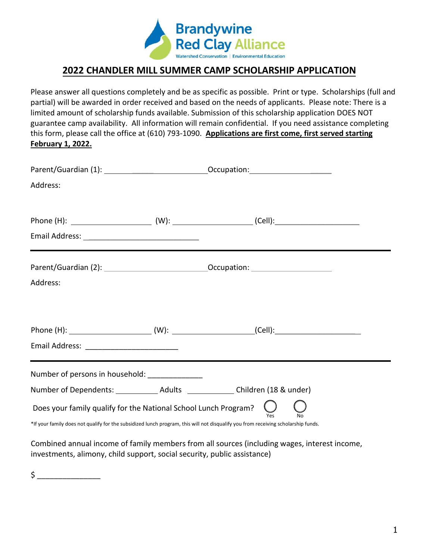

## **2022 CHANDLER MILL SUMMER CAMP SCHOLARSHIP APPLICATION**

Please answer all questions completely and be as specific as possible. Print or type. Scholarships (full and partial) will be awarded in order received and based on the needs of applicants. Please note: There is a limited amount of scholarship funds available. Submission of this scholarship application DOES NOT guarantee camp availability. All information will remain confidential. If you need assistance completing this form, please call the office at (610) 793-1090. **Applications are first come, first served starting February 1, 2022.**

| Address:                                                                                                                                                                                                    |  |                                                                        |  |  |
|-------------------------------------------------------------------------------------------------------------------------------------------------------------------------------------------------------------|--|------------------------------------------------------------------------|--|--|
|                                                                                                                                                                                                             |  | <u> 1989 - Jan Samuel Barbara, margaret eta biztanleria (h. 1989).</u> |  |  |
| Address:                                                                                                                                                                                                    |  |                                                                        |  |  |
| Email Address: ____________________________                                                                                                                                                                 |  |                                                                        |  |  |
| Number of persons in household: ______________<br>Number of Dependents: ______________ Adults ______________ Children (18 & under)                                                                          |  |                                                                        |  |  |
| Does your family qualify for the National School Lunch Program?<br>Yes<br>*If your family does not qualify for the subsidized lunch program, this will not disqualify you from receiving scholarship funds. |  |                                                                        |  |  |

Combined annual income of family members from all sources (including wages, interest income, investments, alimony, child support, social security, public assistance)

 $\sharp$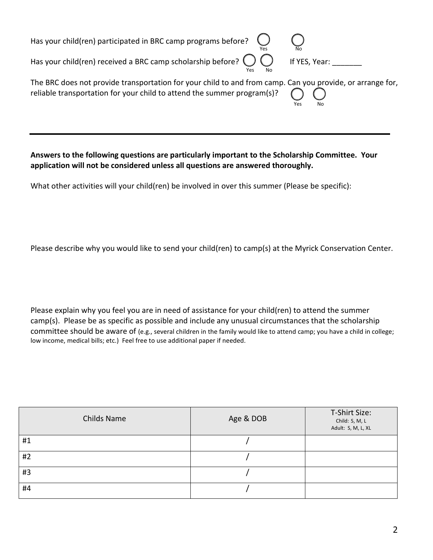Has your child(ren) participated in BRC camp programs before?

Has your child(ren) received a BRC camp scholarship before?  $\bigcirc \bigcirc$  If YES, Year: \_\_\_\_\_\_\_ Yes No

Yes No

| The BRC does not provide transportation for your child to and from camp. Can you provide, or arrange for, |     |    |  |
|-----------------------------------------------------------------------------------------------------------|-----|----|--|
| reliable transportation for your child to attend the summer program(s)? $\bigcap$                         |     |    |  |
|                                                                                                           | Yes | No |  |

## **Answers to the following questions are particularly important to the Scholarship Committee. Your application will not be considered unless all questions are answered thoroughly.**

What other activities will your child(ren) be involved in over this summer (Please be specific):

Please describe why you would like to send your child(ren) to camp(s) at the Myrick Conservation Center.

Please explain why you feel you are in need of assistance for your child(ren) to attend the summer camp(s). Please be as specific as possible and include any unusual circumstances that the scholarship committee should be aware of (e.g., several children in the family would like to attend camp; you have a child in college; low income, medical bills; etc.) Feel free to use additional paper if needed.

| <b>Childs Name</b> | Age & DOB | T-Shirt Size:<br>Child: S, M, L<br>Adult: S, M, L, XL |
|--------------------|-----------|-------------------------------------------------------|
| #1                 |           |                                                       |
| #2                 |           |                                                       |
| #3                 |           |                                                       |
| #4                 |           |                                                       |